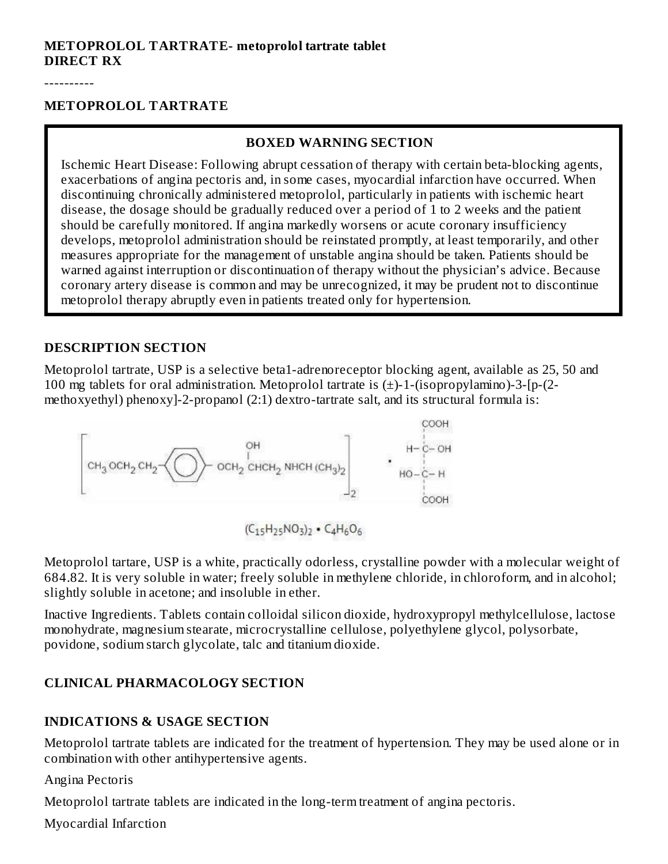#### **METOPROLOL TARTRATE- metoprolol tartrate tablet DIRECT RX**

----------

#### **METOPROLOL TARTRATE**

#### **BOXED WARNING SECTION**

Ischemic Heart Disease: Following abrupt cessation of therapy with certain beta-blocking agents, exacerbations of angina pectoris and, in some cases, myocardial infarction have occurred. When discontinuing chronically administered metoprolol, particularly in patients with ischemic heart disease, the dosage should be gradually reduced over a period of 1 to 2 weeks and the patient should be carefully monitored. If angina markedly worsens or acute coronary insufficiency develops, metoprolol administration should be reinstated promptly, at least temporarily, and other measures appropriate for the management of unstable angina should be taken. Patients should be warned against interruption or discontinuation of therapy without the physician's advice. Because coronary artery disease is common and may be unrecognized, it may be prudent not to discontinue metoprolol therapy abruptly even in patients treated only for hypertension.

#### **DESCRIPTION SECTION**

Metoprolol tartrate, USP is a selective beta1-adrenoreceptor blocking agent, available as 25, 50 and 100 mg tablets for oral administration. Metoprolol tartrate is  $(\pm)$ -1-(isopropylamino)-3-[p-(2methoxyethyl) phenoxy]-2-propanol (2:1) dextro-tartrate salt, and its structural formula is:



 $(C_{15}H_{25}NO_5)$  ·  $C_{4}H_{6}O_6$ 

Metoprolol tartare, USP is a white, practically odorless, crystalline powder with a molecular weight of 684.82. It is very soluble in water; freely soluble in methylene chloride, in chloroform, and in alcohol; slightly soluble in acetone; and insoluble in ether.

Inactive Ingredients. Tablets contain colloidal silicon dioxide, hydroxypropyl methylcellulose, lactose monohydrate, magnesium stearate, microcrystalline cellulose, polyethylene glycol, polysorbate, povidone, sodium starch glycolate, talc and titanium dioxide.

#### **CLINICAL PHARMACOLOGY SECTION**

#### **INDICATIONS & USAGE SECTION**

Metoprolol tartrate tablets are indicated for the treatment of hypertension. They may be used alone or in combination with other antihypertensive agents.

Angina Pectoris

Metoprolol tartrate tablets are indicated in the long-term treatment of angina pectoris.

Myocardial Infarction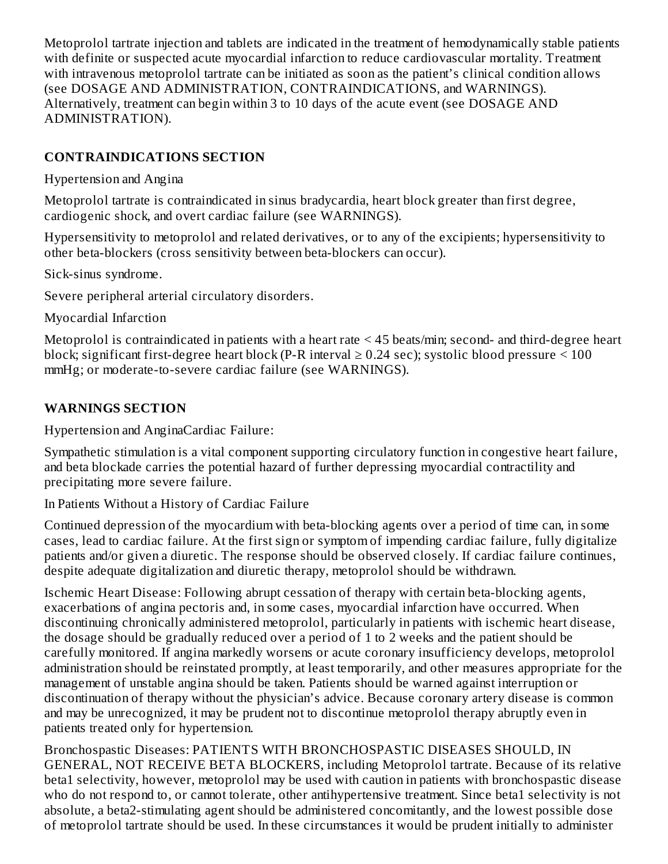Metoprolol tartrate injection and tablets are indicated in the treatment of hemodynamically stable patients with definite or suspected acute myocardial infarction to reduce cardiovascular mortality. Treatment with intravenous metoprolol tartrate can be initiated as soon as the patient's clinical condition allows (see DOSAGE AND ADMINISTRATION, CONTRAINDICATIONS, and WARNINGS). Alternatively, treatment can begin within 3 to 10 days of the acute event (see DOSAGE AND ADMINISTRATION).

# **CONTRAINDICATIONS SECTION**

Hypertension and Angina

Metoprolol tartrate is contraindicated in sinus bradycardia, heart block greater than first degree, cardiogenic shock, and overt cardiac failure (see WARNINGS).

Hypersensitivity to metoprolol and related derivatives, or to any of the excipients; hypersensitivity to other beta-blockers (cross sensitivity between beta-blockers can occur).

Sick-sinus syndrome.

Severe peripheral arterial circulatory disorders.

Myocardial Infarction

Metoprolol is contraindicated in patients with a heart rate < 45 beats/min; second- and third-degree heart block; significant first-degree heart block (P-R interval  $\geq$  0.24 sec); systolic blood pressure  $\leq$  100 mmHg; or moderate-to-severe cardiac failure (see WARNINGS).

# **WARNINGS SECTION**

Hypertension and AnginaCardiac Failure:

Sympathetic stimulation is a vital component supporting circulatory function in congestive heart failure, and beta blockade carries the potential hazard of further depressing myocardial contractility and precipitating more severe failure.

In Patients Without a History of Cardiac Failure

Continued depression of the myocardium with beta-blocking agents over a period of time can, in some cases, lead to cardiac failure. At the first sign or symptom of impending cardiac failure, fully digitalize patients and/or given a diuretic. The response should be observed closely. If cardiac failure continues, despite adequate digitalization and diuretic therapy, metoprolol should be withdrawn.

Ischemic Heart Disease: Following abrupt cessation of therapy with certain beta-blocking agents, exacerbations of angina pectoris and, in some cases, myocardial infarction have occurred. When discontinuing chronically administered metoprolol, particularly in patients with ischemic heart disease, the dosage should be gradually reduced over a period of 1 to 2 weeks and the patient should be carefully monitored. If angina markedly worsens or acute coronary insufficiency develops, metoprolol administration should be reinstated promptly, at least temporarily, and other measures appropriate for the management of unstable angina should be taken. Patients should be warned against interruption or discontinuation of therapy without the physician's advice. Because coronary artery disease is common and may be unrecognized, it may be prudent not to discontinue metoprolol therapy abruptly even in patients treated only for hypertension.

Bronchospastic Diseases: PATIENTS WITH BRONCHOSPASTIC DISEASES SHOULD, IN GENERAL, NOT RECEIVE BETA BLOCKERS, including Metoprolol tartrate. Because of its relative beta1 selectivity, however, metoprolol may be used with caution in patients with bronchospastic disease who do not respond to, or cannot tolerate, other antihypertensive treatment. Since beta1 selectivity is not absolute, a beta2-stimulating agent should be administered concomitantly, and the lowest possible dose of metoprolol tartrate should be used. In these circumstances it would be prudent initially to administer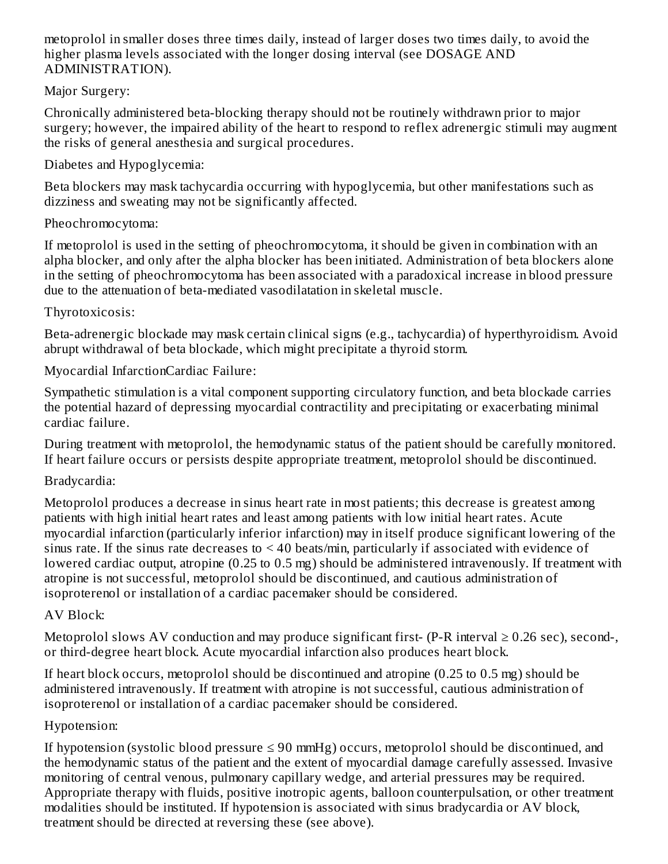metoprolol in smaller doses three times daily, instead of larger doses two times daily, to avoid the higher plasma levels associated with the longer dosing interval (see DOSAGE AND ADMINISTRATION).

Major Surgery:

Chronically administered beta-blocking therapy should not be routinely withdrawn prior to major surgery; however, the impaired ability of the heart to respond to reflex adrenergic stimuli may augment the risks of general anesthesia and surgical procedures.

Diabetes and Hypoglycemia:

Beta blockers may mask tachycardia occurring with hypoglycemia, but other manifestations such as dizziness and sweating may not be significantly affected.

# Pheochromocytoma:

If metoprolol is used in the setting of pheochromocytoma, it should be given in combination with an alpha blocker, and only after the alpha blocker has been initiated. Administration of beta blockers alone in the setting of pheochromocytoma has been associated with a paradoxical increase in blood pressure due to the attenuation of beta-mediated vasodilatation in skeletal muscle.

# Thyrotoxicosis:

Beta-adrenergic blockade may mask certain clinical signs (e.g., tachycardia) of hyperthyroidism. Avoid abrupt withdrawal of beta blockade, which might precipitate a thyroid storm.

Myocardial InfarctionCardiac Failure:

Sympathetic stimulation is a vital component supporting circulatory function, and beta blockade carries the potential hazard of depressing myocardial contractility and precipitating or exacerbating minimal cardiac failure.

During treatment with metoprolol, the hemodynamic status of the patient should be carefully monitored. If heart failure occurs or persists despite appropriate treatment, metoprolol should be discontinued.

Bradycardia:

Metoprolol produces a decrease in sinus heart rate in most patients; this decrease is greatest among patients with high initial heart rates and least among patients with low initial heart rates. Acute myocardial infarction (particularly inferior infarction) may in itself produce significant lowering of the sinus rate. If the sinus rate decreases to < 40 beats/min, particularly if associated with evidence of lowered cardiac output, atropine (0.25 to 0.5 mg) should be administered intravenously. If treatment with atropine is not successful, metoprolol should be discontinued, and cautious administration of isoproterenol or installation of a cardiac pacemaker should be considered.

# AV Block:

Metoprolol slows AV conduction and may produce significant first- (P-R interval  $\geq$  0.26 sec), second-, or third-degree heart block. Acute myocardial infarction also produces heart block.

If heart block occurs, metoprolol should be discontinued and atropine (0.25 to 0.5 mg) should be administered intravenously. If treatment with atropine is not successful, cautious administration of isoproterenol or installation of a cardiac pacemaker should be considered.

# Hypotension:

If hypotension (systolic blood pressure  $\leq 90$  mmHg) occurs, metoprolol should be discontinued, and the hemodynamic status of the patient and the extent of myocardial damage carefully assessed. Invasive monitoring of central venous, pulmonary capillary wedge, and arterial pressures may be required. Appropriate therapy with fluids, positive inotropic agents, balloon counterpulsation, or other treatment modalities should be instituted. If hypotension is associated with sinus bradycardia or AV block, treatment should be directed at reversing these (see above).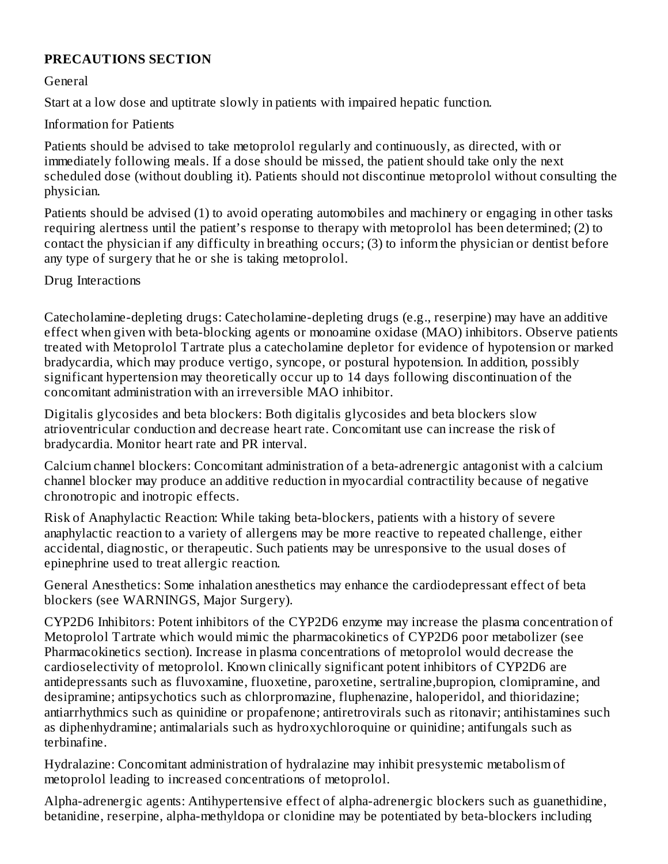### **PRECAUTIONS SECTION**

General

Start at a low dose and uptitrate slowly in patients with impaired hepatic function.

Information for Patients

Patients should be advised to take metoprolol regularly and continuously, as directed, with or immediately following meals. If a dose should be missed, the patient should take only the next scheduled dose (without doubling it). Patients should not discontinue metoprolol without consulting the physician.

Patients should be advised (1) to avoid operating automobiles and machinery or engaging in other tasks requiring alertness until the patient's response to therapy with metoprolol has been determined; (2) to contact the physician if any difficulty in breathing occurs; (3) to inform the physician or dentist before any type of surgery that he or she is taking metoprolol.

Drug Interactions

Catecholamine-depleting drugs: Catecholamine-depleting drugs (e.g., reserpine) may have an additive effect when given with beta-blocking agents or monoamine oxidase (MAO) inhibitors. Observe patients treated with Metoprolol Tartrate plus a catecholamine depletor for evidence of hypotension or marked bradycardia, which may produce vertigo, syncope, or postural hypotension. In addition, possibly significant hypertension may theoretically occur up to 14 days following discontinuation of the concomitant administration with an irreversible MAO inhibitor.

Digitalis glycosides and beta blockers: Both digitalis glycosides and beta blockers slow atrioventricular conduction and decrease heart rate. Concomitant use can increase the risk of bradycardia. Monitor heart rate and PR interval.

Calcium channel blockers: Concomitant administration of a beta-adrenergic antagonist with a calcium channel blocker may produce an additive reduction in myocardial contractility because of negative chronotropic and inotropic effects.

Risk of Anaphylactic Reaction: While taking beta-blockers, patients with a history of severe anaphylactic reaction to a variety of allergens may be more reactive to repeated challenge, either accidental, diagnostic, or therapeutic. Such patients may be unresponsive to the usual doses of epinephrine used to treat allergic reaction.

General Anesthetics: Some inhalation anesthetics may enhance the cardiodepressant effect of beta blockers (see WARNINGS, Major Surgery).

CYP2D6 Inhibitors: Potent inhibitors of the CYP2D6 enzyme may increase the plasma concentration of Metoprolol Tartrate which would mimic the pharmacokinetics of CYP2D6 poor metabolizer (see Pharmacokinetics section). Increase in plasma concentrations of metoprolol would decrease the cardioselectivity of metoprolol. Known clinically significant potent inhibitors of CYP2D6 are antidepressants such as fluvoxamine, fluoxetine, paroxetine, sertraline,bupropion, clomipramine, and desipramine; antipsychotics such as chlorpromazine, fluphenazine, haloperidol, and thioridazine; antiarrhythmics such as quinidine or propafenone; antiretrovirals such as ritonavir; antihistamines such as diphenhydramine; antimalarials such as hydroxychloroquine or quinidine; antifungals such as terbinafine.

Hydralazine: Concomitant administration of hydralazine may inhibit presystemic metabolism of metoprolol leading to increased concentrations of metoprolol.

Alpha-adrenergic agents: Antihypertensive effect of alpha-adrenergic blockers such as guanethidine, betanidine, reserpine, alpha-methyldopa or clonidine may be potentiated by beta-blockers including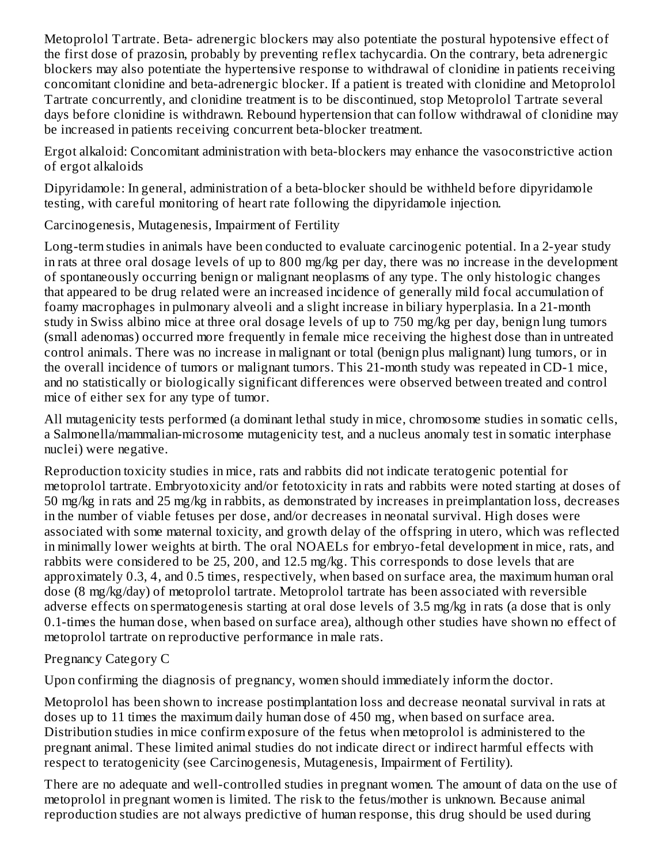Metoprolol Tartrate. Beta- adrenergic blockers may also potentiate the postural hypotensive effect of the first dose of prazosin, probably by preventing reflex tachycardia. On the contrary, beta adrenergic blockers may also potentiate the hypertensive response to withdrawal of clonidine in patients receiving concomitant clonidine and beta-adrenergic blocker. If a patient is treated with clonidine and Metoprolol Tartrate concurrently, and clonidine treatment is to be discontinued, stop Metoprolol Tartrate several days before clonidine is withdrawn. Rebound hypertension that can follow withdrawal of clonidine may be increased in patients receiving concurrent beta-blocker treatment.

Ergot alkaloid: Concomitant administration with beta-blockers may enhance the vasoconstrictive action of ergot alkaloids

Dipyridamole: In general, administration of a beta-blocker should be withheld before dipyridamole testing, with careful monitoring of heart rate following the dipyridamole injection.

Carcinogenesis, Mutagenesis, Impairment of Fertility

Long-term studies in animals have been conducted to evaluate carcinogenic potential. In a 2-year study in rats at three oral dosage levels of up to 800 mg/kg per day, there was no increase in the development of spontaneously occurring benign or malignant neoplasms of any type. The only histologic changes that appeared to be drug related were an increased incidence of generally mild focal accumulation of foamy macrophages in pulmonary alveoli and a slight increase in biliary hyperplasia. In a 21-month study in Swiss albino mice at three oral dosage levels of up to 750 mg/kg per day, benign lung tumors (small adenomas) occurred more frequently in female mice receiving the highest dose than in untreated control animals. There was no increase in malignant or total (benign plus malignant) lung tumors, or in the overall incidence of tumors or malignant tumors. This 21-month study was repeated in CD-1 mice, and no statistically or biologically significant differences were observed between treated and control mice of either sex for any type of tumor.

All mutagenicity tests performed (a dominant lethal study in mice, chromosome studies in somatic cells, a Salmonella/mammalian-microsome mutagenicity test, and a nucleus anomaly test in somatic interphase nuclei) were negative.

Reproduction toxicity studies in mice, rats and rabbits did not indicate teratogenic potential for metoprolol tartrate. Embryotoxicity and/or fetotoxicity in rats and rabbits were noted starting at doses of 50 mg/kg in rats and 25 mg/kg in rabbits, as demonstrated by increases in preimplantation loss, decreases in the number of viable fetuses per dose, and/or decreases in neonatal survival. High doses were associated with some maternal toxicity, and growth delay of the offspring in utero, which was reflected in minimally lower weights at birth. The oral NOAELs for embryo-fetal development in mice, rats, and rabbits were considered to be 25, 200, and 12.5 mg/kg. This corresponds to dose levels that are approximately 0.3, 4, and 0.5 times, respectively, when based on surface area, the maximum human oral dose (8 mg/kg/day) of metoprolol tartrate. Metoprolol tartrate has been associated with reversible adverse effects on spermatogenesis starting at oral dose levels of 3.5 mg/kg in rats (a dose that is only 0.1-times the human dose, when based on surface area), although other studies have shown no effect of metoprolol tartrate on reproductive performance in male rats.

### Pregnancy Category C

Upon confirming the diagnosis of pregnancy, women should immediately inform the doctor.

Metoprolol has been shown to increase postimplantation loss and decrease neonatal survival in rats at doses up to 11 times the maximum daily human dose of 450 mg, when based on surface area. Distribution studies in mice confirm exposure of the fetus when metoprolol is administered to the pregnant animal. These limited animal studies do not indicate direct or indirect harmful effects with respect to teratogenicity (see Carcinogenesis, Mutagenesis, Impairment of Fertility).

There are no adequate and well-controlled studies in pregnant women. The amount of data on the use of metoprolol in pregnant women is limited. The risk to the fetus/mother is unknown. Because animal reproduction studies are not always predictive of human response, this drug should be used during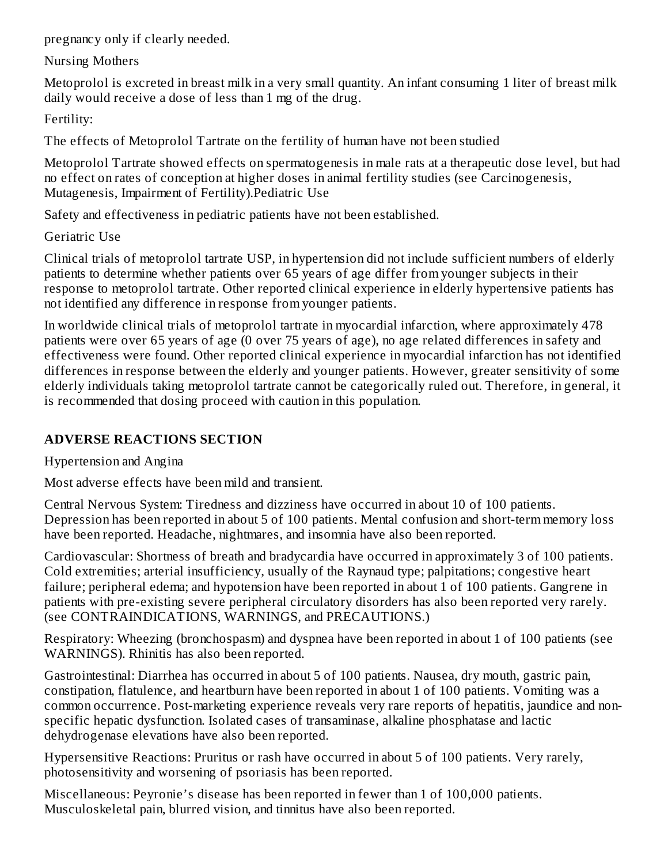pregnancy only if clearly needed.

Nursing Mothers

Metoprolol is excreted in breast milk in a very small quantity. An infant consuming 1 liter of breast milk daily would receive a dose of less than 1 mg of the drug.

Fertility:

The effects of Metoprolol Tartrate on the fertility of human have not been studied

Metoprolol Tartrate showed effects on spermatogenesis in male rats at a therapeutic dose level, but had no effect on rates of conception at higher doses in animal fertility studies (see Carcinogenesis, Mutagenesis, Impairment of Fertility).Pediatric Use

Safety and effectiveness in pediatric patients have not been established.

Geriatric Use

Clinical trials of metoprolol tartrate USP, in hypertension did not include sufficient numbers of elderly patients to determine whether patients over 65 years of age differ from younger subjects in their response to metoprolol tartrate. Other reported clinical experience in elderly hypertensive patients has not identified any difference in response from younger patients.

In worldwide clinical trials of metoprolol tartrate in myocardial infarction, where approximately 478 patients were over 65 years of age (0 over 75 years of age), no age related differences in safety and effectiveness were found. Other reported clinical experience in myocardial infarction has not identified differences in response between the elderly and younger patients. However, greater sensitivity of some elderly individuals taking metoprolol tartrate cannot be categorically ruled out. Therefore, in general, it is recommended that dosing proceed with caution in this population.

# **ADVERSE REACTIONS SECTION**

Hypertension and Angina

Most adverse effects have been mild and transient.

Central Nervous System: Tiredness and dizziness have occurred in about 10 of 100 patients. Depression has been reported in about 5 of 100 patients. Mental confusion and short-term memory loss have been reported. Headache, nightmares, and insomnia have also been reported.

Cardiovascular: Shortness of breath and bradycardia have occurred in approximately 3 of 100 patients. Cold extremities; arterial insufficiency, usually of the Raynaud type; palpitations; congestive heart failure; peripheral edema; and hypotension have been reported in about 1 of 100 patients. Gangrene in patients with pre-existing severe peripheral circulatory disorders has also been reported very rarely. (see CONTRAINDICATIONS, WARNINGS, and PRECAUTIONS.)

Respiratory: Wheezing (bronchospasm) and dyspnea have been reported in about 1 of 100 patients (see WARNINGS). Rhinitis has also been reported.

Gastrointestinal: Diarrhea has occurred in about 5 of 100 patients. Nausea, dry mouth, gastric pain, constipation, flatulence, and heartburn have been reported in about 1 of 100 patients. Vomiting was a common occurrence. Post-marketing experience reveals very rare reports of hepatitis, jaundice and nonspecific hepatic dysfunction. Isolated cases of transaminase, alkaline phosphatase and lactic dehydrogenase elevations have also been reported.

Hypersensitive Reactions: Pruritus or rash have occurred in about 5 of 100 patients. Very rarely, photosensitivity and worsening of psoriasis has been reported.

Miscellaneous: Peyronie's disease has been reported in fewer than 1 of 100,000 patients. Musculoskeletal pain, blurred vision, and tinnitus have also been reported.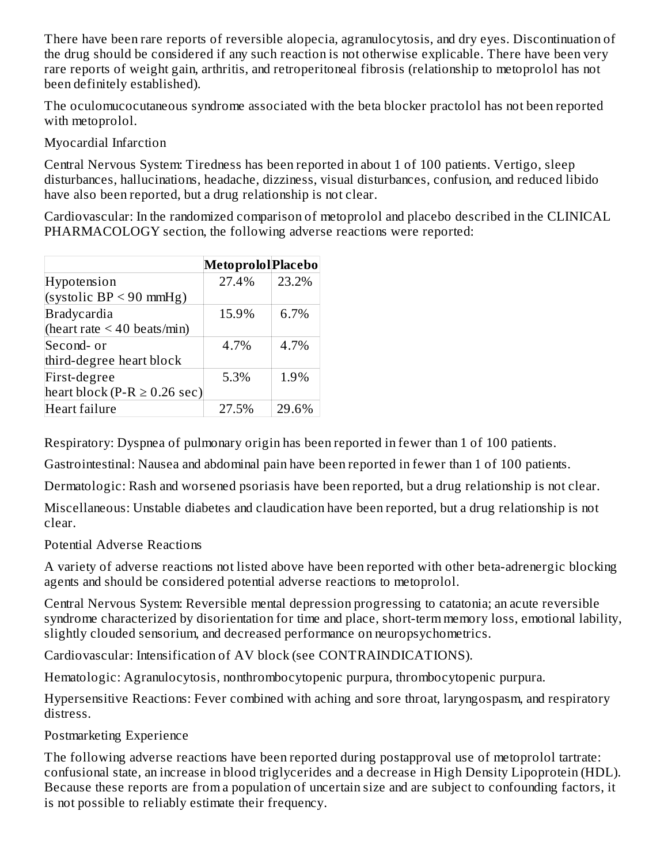There have been rare reports of reversible alopecia, agranulocytosis, and dry eyes. Discontinuation of the drug should be considered if any such reaction is not otherwise explicable. There have been very rare reports of weight gain, arthritis, and retroperitoneal fibrosis (relationship to metoprolol has not been definitely established).

The oculomucocutaneous syndrome associated with the beta blocker practolol has not been reported with metoprolol.

Myocardial Infarction

Central Nervous System: Tiredness has been reported in about 1 of 100 patients. Vertigo, sleep disturbances, hallucinations, headache, dizziness, visual disturbances, confusion, and reduced libido have also been reported, but a drug relationship is not clear.

Cardiovascular: In the randomized comparison of metoprolol and placebo described in the CLINICAL PHARMACOLOGY section, the following adverse reactions were reported:

|                                   | MetoprololPlacebo |       |
|-----------------------------------|-------------------|-------|
| Hypotension                       | 27.4%             | 23.2% |
| (systolic BP $\leq$ 90 mmHg)      |                   |       |
| Bradycardia                       | 15.9%             | 6.7%  |
| (heart rate $\leq$ 40 beats/min)  |                   |       |
| Second- or                        | 4.7%              | 4.7%  |
| third-degree heart block          |                   |       |
| First-degree                      | 5.3%              | 1.9%  |
| heart block (P-R $\geq$ 0.26 sec) |                   |       |
| Heart failure                     | 27.5%             | 29.6% |

Respiratory: Dyspnea of pulmonary origin has been reported in fewer than 1 of 100 patients.

Gastrointestinal: Nausea and abdominal pain have been reported in fewer than 1 of 100 patients.

Dermatologic: Rash and worsened psoriasis have been reported, but a drug relationship is not clear.

Miscellaneous: Unstable diabetes and claudication have been reported, but a drug relationship is not clear.

Potential Adverse Reactions

A variety of adverse reactions not listed above have been reported with other beta-adrenergic blocking agents and should be considered potential adverse reactions to metoprolol.

Central Nervous System: Reversible mental depression progressing to catatonia; an acute reversible syndrome characterized by disorientation for time and place, short-term memory loss, emotional lability, slightly clouded sensorium, and decreased performance on neuropsychometrics.

Cardiovascular: Intensification of AV block (see CONTRAINDICATIONS).

Hematologic: Agranulocytosis, nonthrombocytopenic purpura, thrombocytopenic purpura.

Hypersensitive Reactions: Fever combined with aching and sore throat, laryngospasm, and respiratory distress.

Postmarketing Experience

The following adverse reactions have been reported during postapproval use of metoprolol tartrate: confusional state, an increase in blood triglycerides and a decrease in High Density Lipoprotein (HDL). Because these reports are from a population of uncertain size and are subject to confounding factors, it is not possible to reliably estimate their frequency.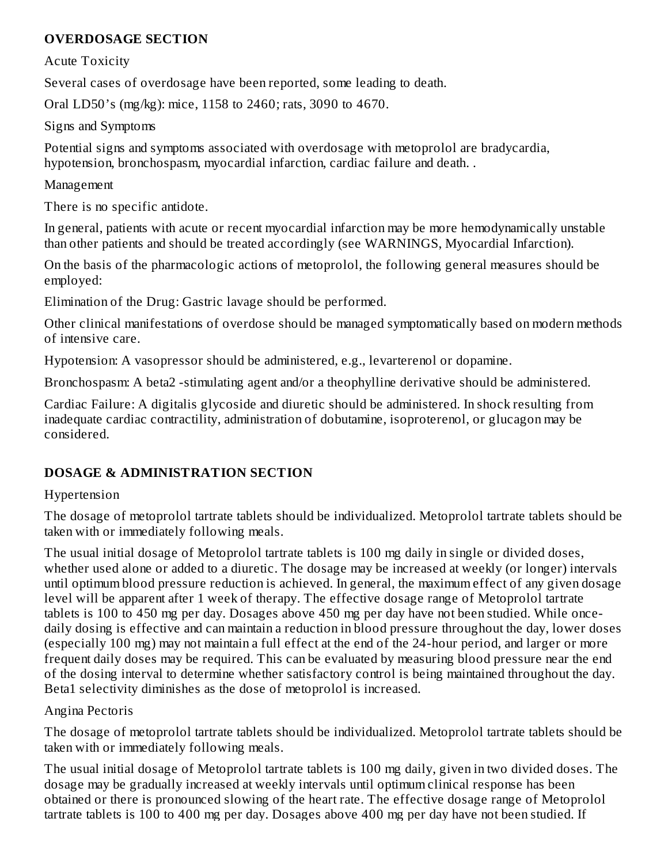### **OVERDOSAGE SECTION**

Acute Toxicity

Several cases of overdosage have been reported, some leading to death.

Oral LD50's (mg/kg): mice, 1158 to 2460; rats, 3090 to 4670.

Signs and Symptoms

Potential signs and symptoms associated with overdosage with metoprolol are bradycardia, hypotension, bronchospasm, myocardial infarction, cardiac failure and death. .

Management

There is no specific antidote.

In general, patients with acute or recent myocardial infarction may be more hemodynamically unstable than other patients and should be treated accordingly (see WARNINGS, Myocardial Infarction).

On the basis of the pharmacologic actions of metoprolol, the following general measures should be employed:

Elimination of the Drug: Gastric lavage should be performed.

Other clinical manifestations of overdose should be managed symptomatically based on modern methods of intensive care.

Hypotension: A vasopressor should be administered, e.g., levarterenol or dopamine.

Bronchospasm: A beta2 -stimulating agent and/or a theophylline derivative should be administered.

Cardiac Failure: A digitalis glycoside and diuretic should be administered. In shock resulting from inadequate cardiac contractility, administration of dobutamine, isoproterenol, or glucagon may be considered.

### **DOSAGE & ADMINISTRATION SECTION**

### Hypertension

The dosage of metoprolol tartrate tablets should be individualized. Metoprolol tartrate tablets should be taken with or immediately following meals.

The usual initial dosage of Metoprolol tartrate tablets is 100 mg daily in single or divided doses, whether used alone or added to a diuretic. The dosage may be increased at weekly (or longer) intervals until optimum blood pressure reduction is achieved. In general, the maximum effect of any given dosage level will be apparent after 1 week of therapy. The effective dosage range of Metoprolol tartrate tablets is 100 to 450 mg per day. Dosages above 450 mg per day have not been studied. While oncedaily dosing is effective and can maintain a reduction in blood pressure throughout the day, lower doses (especially 100 mg) may not maintain a full effect at the end of the 24-hour period, and larger or more frequent daily doses may be required. This can be evaluated by measuring blood pressure near the end of the dosing interval to determine whether satisfactory control is being maintained throughout the day. Beta1 selectivity diminishes as the dose of metoprolol is increased.

### Angina Pectoris

The dosage of metoprolol tartrate tablets should be individualized. Metoprolol tartrate tablets should be taken with or immediately following meals.

The usual initial dosage of Metoprolol tartrate tablets is 100 mg daily, given in two divided doses. The dosage may be gradually increased at weekly intervals until optimum clinical response has been obtained or there is pronounced slowing of the heart rate. The effective dosage range of Metoprolol tartrate tablets is 100 to 400 mg per day. Dosages above 400 mg per day have not been studied. If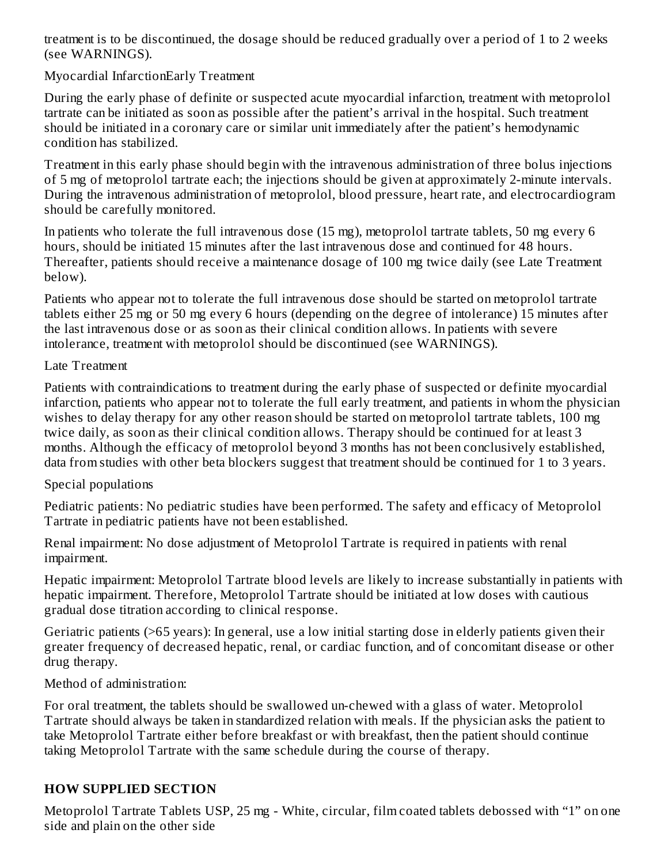treatment is to be discontinued, the dosage should be reduced gradually over a period of 1 to 2 weeks (see WARNINGS).

### Myocardial InfarctionEarly Treatment

During the early phase of definite or suspected acute myocardial infarction, treatment with metoprolol tartrate can be initiated as soon as possible after the patient's arrival in the hospital. Such treatment should be initiated in a coronary care or similar unit immediately after the patient's hemodynamic condition has stabilized.

Treatment in this early phase should begin with the intravenous administration of three bolus injections of 5 mg of metoprolol tartrate each; the injections should be given at approximately 2-minute intervals. During the intravenous administration of metoprolol, blood pressure, heart rate, and electrocardiogram should be carefully monitored.

In patients who tolerate the full intravenous dose (15 mg), metoprolol tartrate tablets, 50 mg every 6 hours, should be initiated 15 minutes after the last intravenous dose and continued for 48 hours. Thereafter, patients should receive a maintenance dosage of 100 mg twice daily (see Late Treatment below).

Patients who appear not to tolerate the full intravenous dose should be started on metoprolol tartrate tablets either 25 mg or 50 mg every 6 hours (depending on the degree of intolerance) 15 minutes after the last intravenous dose or as soon as their clinical condition allows. In patients with severe intolerance, treatment with metoprolol should be discontinued (see WARNINGS).

### Late Treatment

Patients with contraindications to treatment during the early phase of suspected or definite myocardial infarction, patients who appear not to tolerate the full early treatment, and patients in whom the physician wishes to delay therapy for any other reason should be started on metoprolol tartrate tablets, 100 mg twice daily, as soon as their clinical condition allows. Therapy should be continued for at least 3 months. Although the efficacy of metoprolol beyond 3 months has not been conclusively established, data from studies with other beta blockers suggest that treatment should be continued for 1 to 3 years.

### Special populations

Pediatric patients: No pediatric studies have been performed. The safety and efficacy of Metoprolol Tartrate in pediatric patients have not been established.

Renal impairment: No dose adjustment of Metoprolol Tartrate is required in patients with renal impairment.

Hepatic impairment: Metoprolol Tartrate blood levels are likely to increase substantially in patients with hepatic impairment. Therefore, Metoprolol Tartrate should be initiated at low doses with cautious gradual dose titration according to clinical response.

Geriatric patients (>65 years): In general, use a low initial starting dose in elderly patients given their greater frequency of decreased hepatic, renal, or cardiac function, and of concomitant disease or other drug therapy.

### Method of administration:

For oral treatment, the tablets should be swallowed un-chewed with a glass of water. Metoprolol Tartrate should always be taken in standardized relation with meals. If the physician asks the patient to take Metoprolol Tartrate either before breakfast or with breakfast, then the patient should continue taking Metoprolol Tartrate with the same schedule during the course of therapy.

### **HOW SUPPLIED SECTION**

Metoprolol Tartrate Tablets USP, 25 mg - White, circular, film coated tablets debossed with "1" on one side and plain on the other side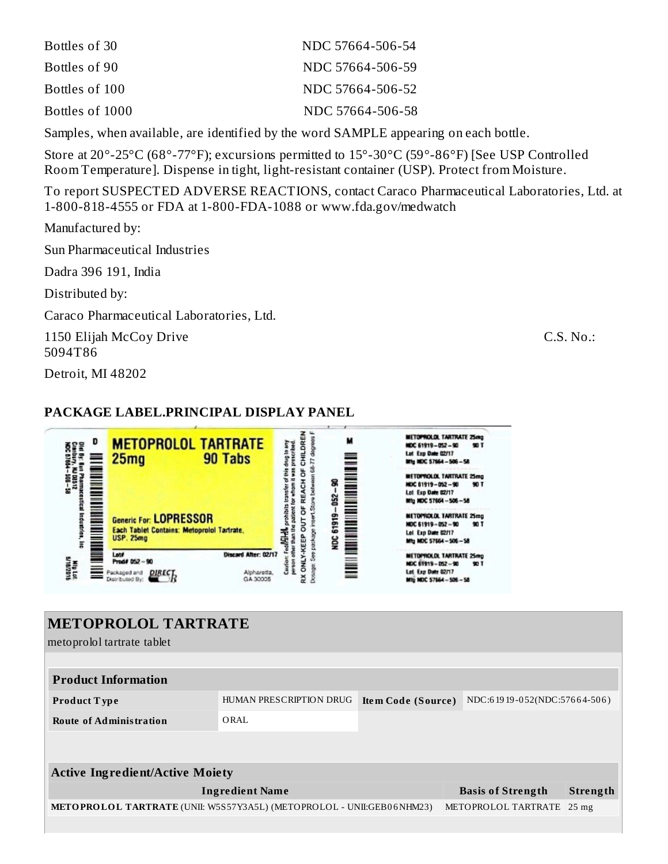| Bottles of 30   | NDC 57664-506-54 |
|-----------------|------------------|
| Bottles of 90   | NDC 57664-506-59 |
| Bottles of 100  | NDC 57664-506-52 |
| Bottles of 1000 | NDC 57664-506-58 |

Samples, when available, are identified by the word SAMPLE appearing on each bottle.

Store at 20°-25°C (68°-77°F); excursions permitted to 15°-30°C (59°-86°F) [See USP Controlled Room Temperature]. Dispense in tight, light-resistant container (USP). Protect from Moisture.

To report SUSPECTED ADVERSE REACTIONS, contact Caraco Pharmaceutical Laboratories, Ltd. at 1-800-818-4555 or FDA at 1-800-FDA-1088 or www.fda.gov/medwatch

Manufactured by:

Sun Pharmaceutical Industries

Dadra 396 191, India

Distributed by:

Caraco Pharmaceutical Laboratories, Ltd.

1150 Elijah McCoy Drive C.S. No.: 5094T86

Detroit, MI 48202

### **PACKAGE LABEL.PRINCIPAL DISPLAY PANEL**



| <b>METOPROLOL TARTRATE</b><br>metoprolol tartrate tablet              |                         |                           |                              |                 |
|-----------------------------------------------------------------------|-------------------------|---------------------------|------------------------------|-----------------|
| <b>Product Information</b>                                            |                         |                           |                              |                 |
| <b>Product Type</b>                                                   | HUMAN PRESCRIPTION DRUG | <b>Item Code (Source)</b> | NDC:61919-052(NDC:57664-506) |                 |
| <b>Route of Administration</b>                                        | ORAL                    |                           |                              |                 |
|                                                                       |                         |                           |                              |                 |
| <b>Active Ingredient/Active Moiety</b>                                |                         |                           |                              |                 |
| <b>Ingredient Name</b>                                                |                         |                           | <b>Basis of Strength</b>     | Strength        |
| METOPROLOL TARTRATE (UNII: W5S57Y3A5L) (METOPROLOL - UNII:GEB06NHM23) |                         |                           | METOPROLOL TARTRATE          | $25 \text{ mg}$ |
|                                                                       |                         |                           |                              |                 |